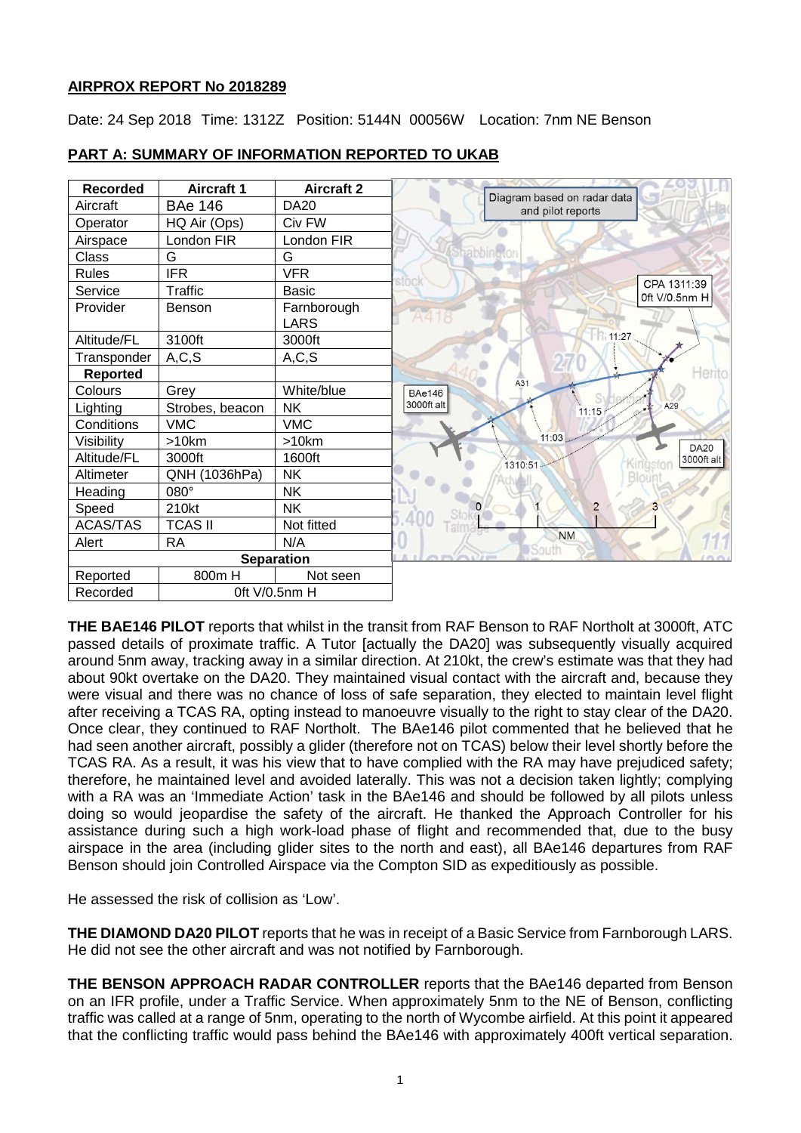# **AIRPROX REPORT No 2018289**

Date: 24 Sep 2018 Time: 1312Z Position: 5144N 00056W Location: 7nm NE Benson

| <b>Recorded</b>   | <b>Aircraft 1</b> | <b>Aircraft 2</b> | Diagram based on radar data       |
|-------------------|-------------------|-------------------|-----------------------------------|
| Aircraft          | <b>BAe 146</b>    | <b>DA20</b>       | and pilot reports                 |
| Operator          | HQ Air (Ops)      | Civ FW            |                                   |
| Airspace          | London FIR        | London FIR        |                                   |
| Class             | G                 | G                 | Shabbingto                        |
| <b>Rules</b>      | <b>IFR</b>        | <b>VFR</b>        |                                   |
| Service           | Traffic           | <b>Basic</b>      | CPA 1311:39<br>Oft $V/O.5$ nm H   |
| Provider          | Benson            | Farnborough       |                                   |
|                   |                   | <b>LARS</b>       |                                   |
| Altitude/FL       | 3100ft            | 3000ft            | 11:27                             |
| Transponder       | A, C, S           | A, C, S           |                                   |
| <b>Reported</b>   |                   |                   | Herito<br>A31                     |
| Colours           | Grey              | White/blue        | <b>BAe146</b>                     |
| Lighting          | Strobes, beacon   | <b>NK</b>         | 3000ft alt<br>A29<br>11:15        |
| Conditions        | <b>VMC</b>        | <b>VMC</b>        |                                   |
| Visibility        | >10km             | >10km             | 11:03<br><b>DA20</b>              |
| Altitude/FL       | 3000ft            | 1600ft            | 3000ft alt<br>Kingstor<br>1310:51 |
| Altimeter         | QNH (1036hPa)     | <b>NK</b>         | Bloiin                            |
| Heading           | 080°              | <b>NK</b>         |                                   |
| Speed             | 210kt             | <b>NK</b>         | $\overline{2}$<br>$\Omega$        |
| <b>ACAS/TAS</b>   | <b>TCAS II</b>    | Not fitted        |                                   |
| Alert             | <b>RA</b>         | N/A               | <b>NM</b><br>South                |
| <b>Separation</b> |                   |                   |                                   |
| Reported          | 800m H            | Not seen          |                                   |
| Recorded          | 0ft V/0.5nm H     |                   |                                   |

# **PART A: SUMMARY OF INFORMATION REPORTED TO UKAB**

**THE BAE146 PILOT** reports that whilst in the transit from RAF Benson to RAF Northolt at 3000ft, ATC passed details of proximate traffic. A Tutor [actually the DA20] was subsequently visually acquired around 5nm away, tracking away in a similar direction. At 210kt, the crew's estimate was that they had about 90kt overtake on the DA20. They maintained visual contact with the aircraft and, because they were visual and there was no chance of loss of safe separation, they elected to maintain level flight after receiving a TCAS RA, opting instead to manoeuvre visually to the right to stay clear of the DA20. Once clear, they continued to RAF Northolt. The BAe146 pilot commented that he believed that he had seen another aircraft, possibly a glider (therefore not on TCAS) below their level shortly before the TCAS RA. As a result, it was his view that to have complied with the RA may have prejudiced safety; therefore, he maintained level and avoided laterally. This was not a decision taken lightly; complying with a RA was an 'Immediate Action' task in the BAe146 and should be followed by all pilots unless doing so would jeopardise the safety of the aircraft. He thanked the Approach Controller for his assistance during such a high work-load phase of flight and recommended that, due to the busy airspace in the area (including glider sites to the north and east), all BAe146 departures from RAF Benson should join Controlled Airspace via the Compton SID as expeditiously as possible.

He assessed the risk of collision as 'Low'.

**THE DIAMOND DA20 PILOT** reports that he was in receipt of a Basic Service from Farnborough LARS. He did not see the other aircraft and was not notified by Farnborough.

**THE BENSON APPROACH RADAR CONTROLLER** reports that the BAe146 departed from Benson on an IFR profile, under a Traffic Service. When approximately 5nm to the NE of Benson, conflicting traffic was called at a range of 5nm, operating to the north of Wycombe airfield. At this point it appeared that the conflicting traffic would pass behind the BAe146 with approximately 400ft vertical separation.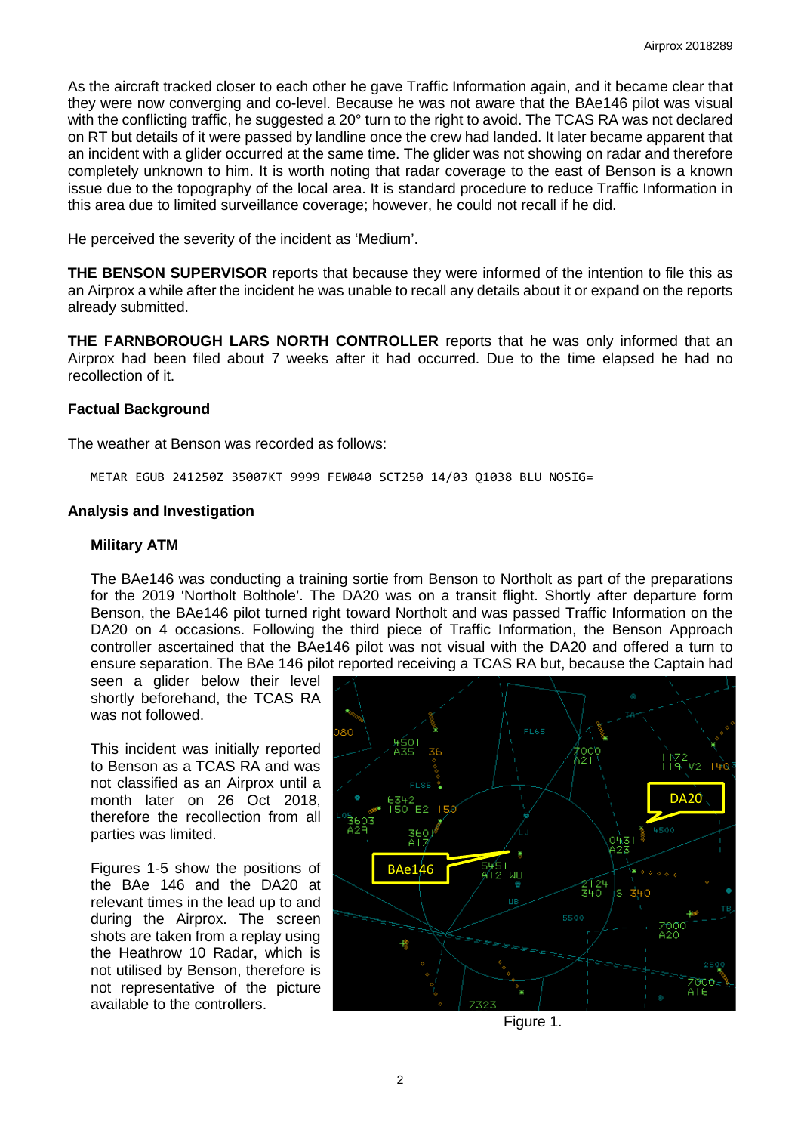As the aircraft tracked closer to each other he gave Traffic Information again, and it became clear that they were now converging and co-level. Because he was not aware that the BAe146 pilot was visual with the conflicting traffic, he suggested a 20° turn to the right to avoid. The TCAS RA was not declared on RT but details of it were passed by landline once the crew had landed. It later became apparent that an incident with a glider occurred at the same time. The glider was not showing on radar and therefore completely unknown to him. It is worth noting that radar coverage to the east of Benson is a known issue due to the topography of the local area. It is standard procedure to reduce Traffic Information in this area due to limited surveillance coverage; however, he could not recall if he did.

He perceived the severity of the incident as 'Medium'.

**THE BENSON SUPERVISOR** reports that because they were informed of the intention to file this as an Airprox a while after the incident he was unable to recall any details about it or expand on the reports already submitted.

**THE FARNBOROUGH LARS NORTH CONTROLLER** reports that he was only informed that an Airprox had been filed about 7 weeks after it had occurred. Due to the time elapsed he had no recollection of it.

### **Factual Background**

The weather at Benson was recorded as follows:

METAR EGUB 241250Z 35007KT 9999 FEW040 SCT250 14/03 Q1038 BLU NOSIG=

### **Analysis and Investigation**

#### **Military ATM**

The BAe146 was conducting a training sortie from Benson to Northolt as part of the preparations for the 2019 'Northolt Bolthole'. The DA20 was on a transit flight. Shortly after departure form Benson, the BAe146 pilot turned right toward Northolt and was passed Traffic Information on the DA20 on 4 occasions. Following the third piece of Traffic Information, the Benson Approach controller ascertained that the BAe146 pilot was not visual with the DA20 and offered a turn to ensure separation. The BAe 146 pilot reported receiving a TCAS RA but, because the Captain had

seen a glider below their level shortly beforehand, the TCAS RA was not followed.

This incident was initially reported to Benson as a TCAS RA and was not classified as an Airprox until a month later on 26 Oct 2018, therefore the recollection from all parties was limited.

Figures 1-5 show the positions of the BAe 146 and the DA20 at relevant times in the lead up to and during the Airprox. The screen shots are taken from a replay using the Heathrow 10 Radar, which is not utilised by Benson, therefore is not representative of the picture available to the controllers.



Figure 1.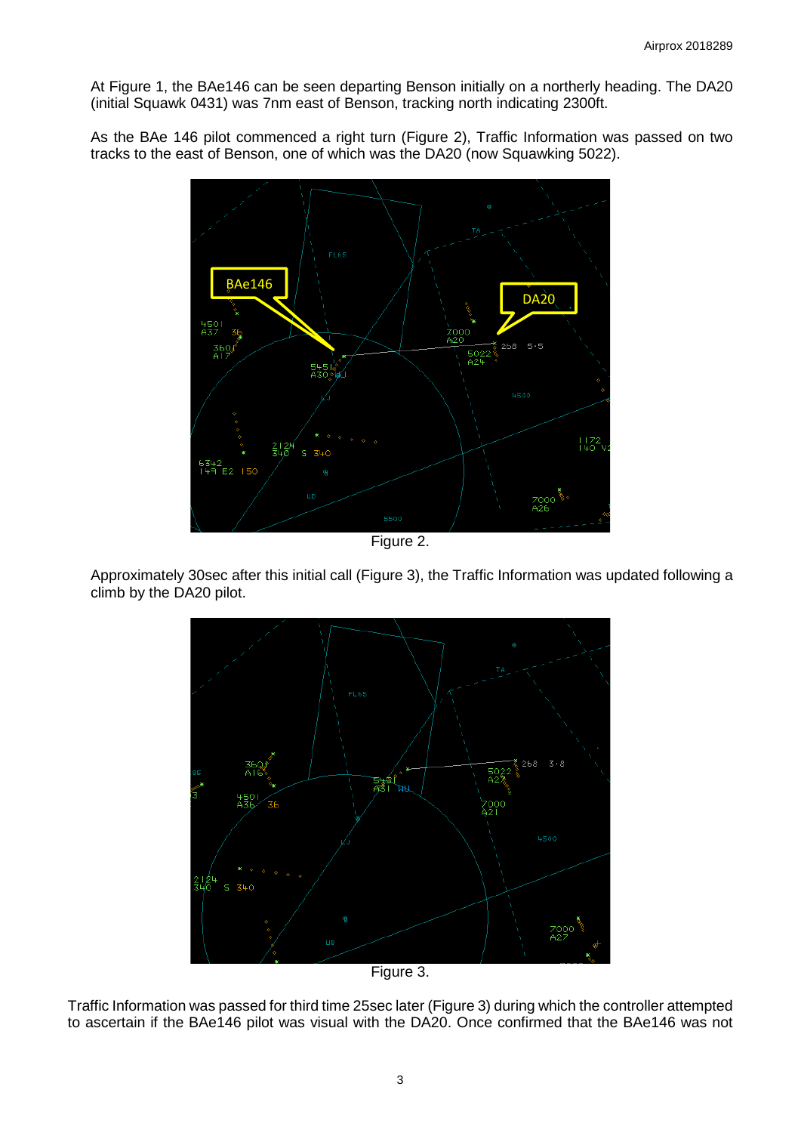At Figure 1, the BAe146 can be seen departing Benson initially on a northerly heading. The DA20 (initial Squawk 0431) was 7nm east of Benson, tracking north indicating 2300ft.

As the BAe 146 pilot commenced a right turn (Figure 2), Traffic Information was passed on two tracks to the east of Benson, one of which was the DA20 (now Squawking 5022).



Figure 2.

Approximately 30sec after this initial call (Figure 3), the Traffic Information was updated following a climb by the DA20 pilot.



Traffic Information was passed for third time 25sec later (Figure 3) during which the controller attempted to ascertain if the BAe146 pilot was visual with the DA20. Once confirmed that the BAe146 was not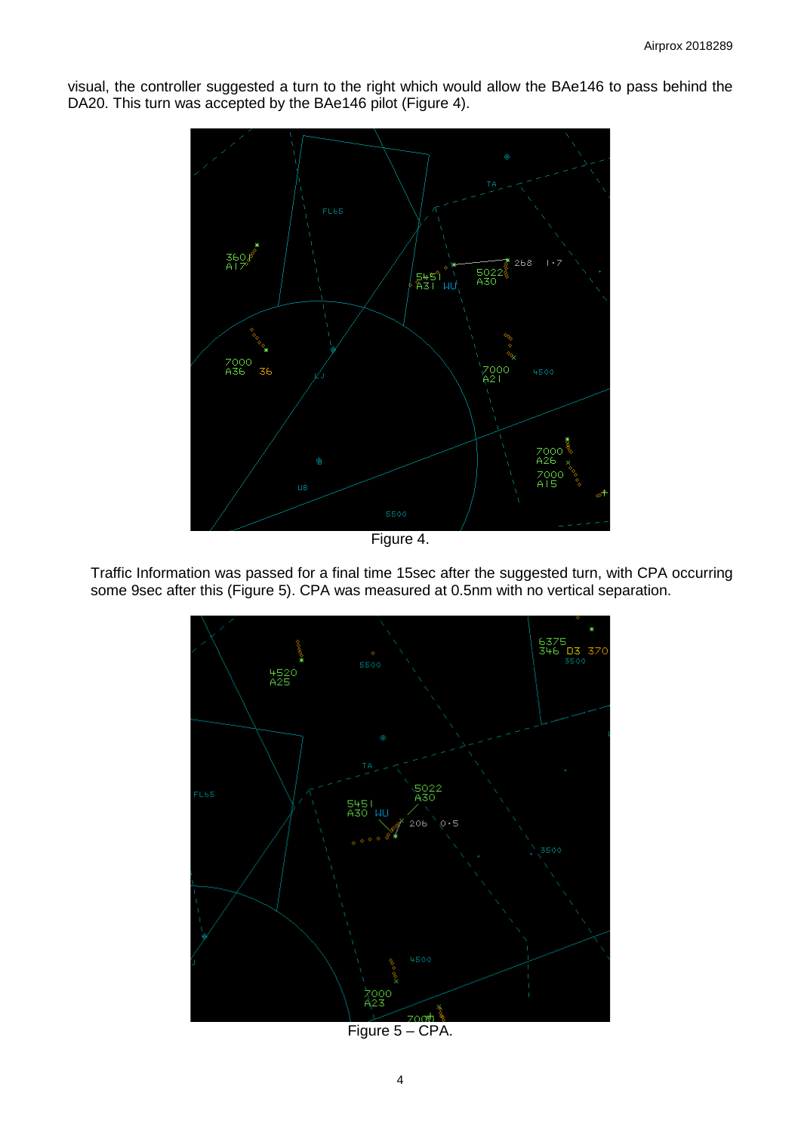

visual, the controller suggested a turn to the right which would allow the BAe146 to pass behind the DA20. This turn was accepted by the BAe146 pilot (Figure 4).

Figure 4.

Traffic Information was passed for a final time 15sec after the suggested turn, with CPA occurring some 9sec after this (Figure 5). CPA was measured at 0.5nm with no vertical separation.



Figure 5 – CPA.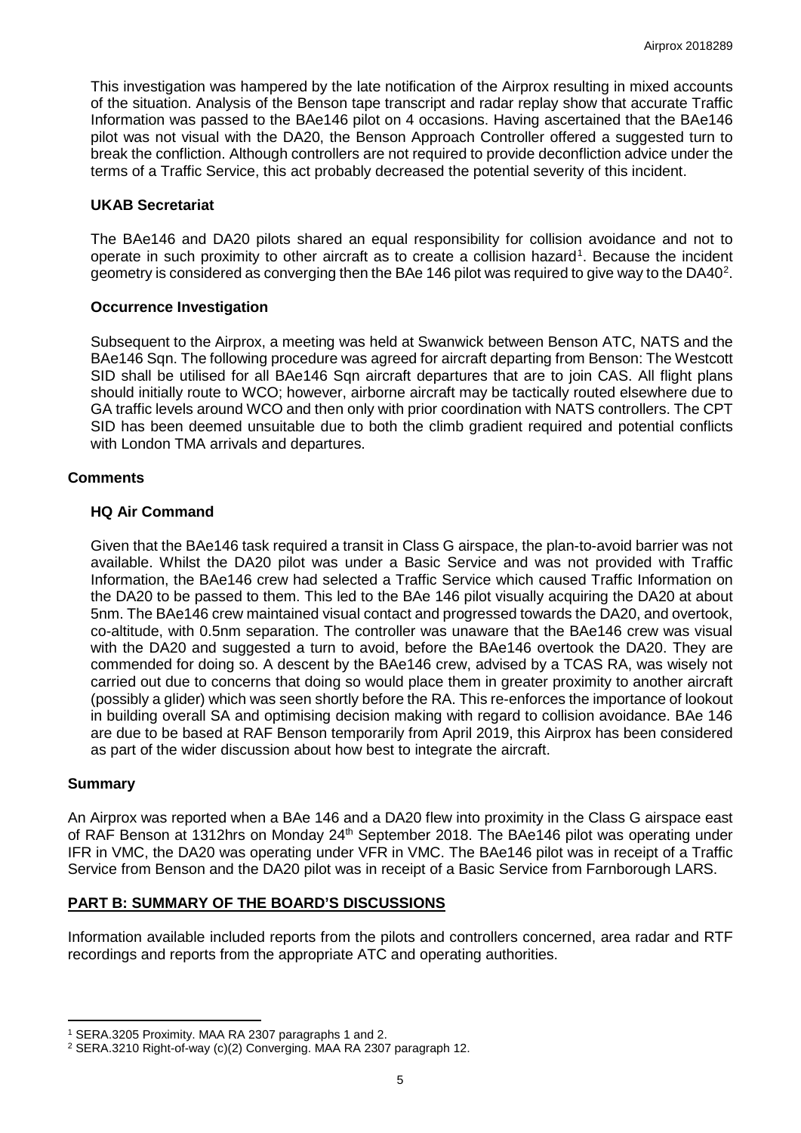This investigation was hampered by the late notification of the Airprox resulting in mixed accounts of the situation. Analysis of the Benson tape transcript and radar replay show that accurate Traffic Information was passed to the BAe146 pilot on 4 occasions. Having ascertained that the BAe146 pilot was not visual with the DA20, the Benson Approach Controller offered a suggested turn to break the confliction. Although controllers are not required to provide deconfliction advice under the terms of a Traffic Service, this act probably decreased the potential severity of this incident.

### **UKAB Secretariat**

The BAe146 and DA20 pilots shared an equal responsibility for collision avoidance and not to operate in such proximity to other aircraft as to create a collision hazard<sup>[1](#page-4-0)</sup>. Because the incident geometry is considered as converging then the BAe 146 pilot was required to give way to the DA40<sup>[2](#page-4-1)</sup>.

### **Occurrence Investigation**

Subsequent to the Airprox, a meeting was held at Swanwick between Benson ATC, NATS and the BAe146 Sqn. The following procedure was agreed for aircraft departing from Benson: The Westcott SID shall be utilised for all BAe146 Sqn aircraft departures that are to join CAS. All flight plans should initially route to WCO; however, airborne aircraft may be tactically routed elsewhere due to GA traffic levels around WCO and then only with prior coordination with NATS controllers. The CPT SID has been deemed unsuitable due to both the climb gradient required and potential conflicts with London TMA arrivals and departures.

### **Comments**

### **HQ Air Command**

Given that the BAe146 task required a transit in Class G airspace, the plan-to-avoid barrier was not available. Whilst the DA20 pilot was under a Basic Service and was not provided with Traffic Information, the BAe146 crew had selected a Traffic Service which caused Traffic Information on the DA20 to be passed to them. This led to the BAe 146 pilot visually acquiring the DA20 at about 5nm. The BAe146 crew maintained visual contact and progressed towards the DA20, and overtook, co-altitude, with 0.5nm separation. The controller was unaware that the BAe146 crew was visual with the DA20 and suggested a turn to avoid, before the BAe146 overtook the DA20. They are commended for doing so. A descent by the BAe146 crew, advised by a TCAS RA, was wisely not carried out due to concerns that doing so would place them in greater proximity to another aircraft (possibly a glider) which was seen shortly before the RA. This re-enforces the importance of lookout in building overall SA and optimising decision making with regard to collision avoidance. BAe 146 are due to be based at RAF Benson temporarily from April 2019, this Airprox has been considered as part of the wider discussion about how best to integrate the aircraft.

#### **Summary**

l

An Airprox was reported when a BAe 146 and a DA20 flew into proximity in the Class G airspace east of RAF Benson at 1312hrs on Monday 24<sup>th</sup> September 2018. The BAe146 pilot was operating under IFR in VMC, the DA20 was operating under VFR in VMC. The BAe146 pilot was in receipt of a Traffic Service from Benson and the DA20 pilot was in receipt of a Basic Service from Farnborough LARS.

# **PART B: SUMMARY OF THE BOARD'S DISCUSSIONS**

Information available included reports from the pilots and controllers concerned, area radar and RTF recordings and reports from the appropriate ATC and operating authorities.

<span id="page-4-0"></span><sup>1</sup> SERA.3205 Proximity. MAA RA 2307 paragraphs 1 and 2.

<span id="page-4-1"></span><sup>2</sup> SERA.3210 Right-of-way (c)(2) Converging. MAA RA 2307 paragraph 12.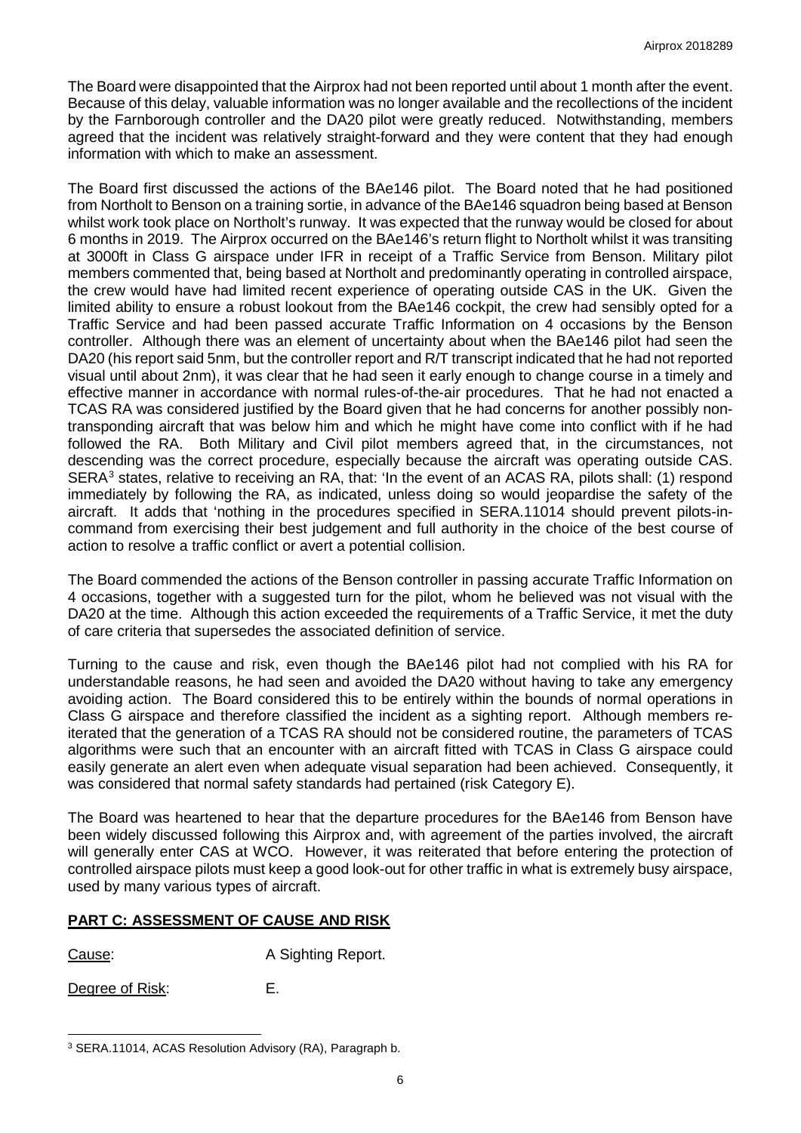The Board were disappointed that the Airprox had not been reported until about 1 month after the event. Because of this delay, valuable information was no longer available and the recollections of the incident by the Farnborough controller and the DA20 pilot were greatly reduced. Notwithstanding, members agreed that the incident was relatively straight-forward and they were content that they had enough information with which to make an assessment.

The Board first discussed the actions of the BAe146 pilot. The Board noted that he had positioned from Northolt to Benson on a training sortie, in advance of the BAe146 squadron being based at Benson whilst work took place on Northolt's runway. It was expected that the runway would be closed for about 6 months in 2019. The Airprox occurred on the BAe146's return flight to Northolt whilst it was transiting at 3000ft in Class G airspace under IFR in receipt of a Traffic Service from Benson. Military pilot members commented that, being based at Northolt and predominantly operating in controlled airspace, the crew would have had limited recent experience of operating outside CAS in the UK. Given the limited ability to ensure a robust lookout from the BAe146 cockpit, the crew had sensibly opted for a Traffic Service and had been passed accurate Traffic Information on 4 occasions by the Benson controller. Although there was an element of uncertainty about when the BAe146 pilot had seen the DA20 (his report said 5nm, but the controller report and R/T transcript indicated that he had not reported visual until about 2nm), it was clear that he had seen it early enough to change course in a timely and effective manner in accordance with normal rules-of-the-air procedures. That he had not enacted a TCAS RA was considered justified by the Board given that he had concerns for another possibly nontransponding aircraft that was below him and which he might have come into conflict with if he had followed the RA. Both Military and Civil pilot members agreed that, in the circumstances, not descending was the correct procedure, especially because the aircraft was operating outside CAS. SERA<sup>[3](#page-5-0)</sup> states, relative to receiving an RA, that: 'In the event of an ACAS RA, pilots shall: (1) respond immediately by following the RA, as indicated, unless doing so would jeopardise the safety of the aircraft. It adds that 'nothing in the procedures specified in SERA.11014 should prevent pilots-incommand from exercising their best judgement and full authority in the choice of the best course of action to resolve a traffic conflict or avert a potential collision.

The Board commended the actions of the Benson controller in passing accurate Traffic Information on 4 occasions, together with a suggested turn for the pilot, whom he believed was not visual with the DA20 at the time. Although this action exceeded the requirements of a Traffic Service, it met the duty of care criteria that supersedes the associated definition of service.

Turning to the cause and risk, even though the BAe146 pilot had not complied with his RA for understandable reasons, he had seen and avoided the DA20 without having to take any emergency avoiding action. The Board considered this to be entirely within the bounds of normal operations in Class G airspace and therefore classified the incident as a sighting report. Although members reiterated that the generation of a TCAS RA should not be considered routine, the parameters of TCAS algorithms were such that an encounter with an aircraft fitted with TCAS in Class G airspace could easily generate an alert even when adequate visual separation had been achieved. Consequently, it was considered that normal safety standards had pertained (risk Category E).

The Board was heartened to hear that the departure procedures for the BAe146 from Benson have been widely discussed following this Airprox and, with agreement of the parties involved, the aircraft will generally enter CAS at WCO. However, it was reiterated that before entering the protection of controlled airspace pilots must keep a good look-out for other traffic in what is extremely busy airspace, used by many various types of aircraft.

# **PART C: ASSESSMENT OF CAUSE AND RISK**

Cause: A Sighting Report.

Degree of Risk: E.

 $\overline{\phantom{a}}$ 

<span id="page-5-0"></span><sup>3</sup> SERA.11014, ACAS Resolution Advisory (RA), Paragraph b.